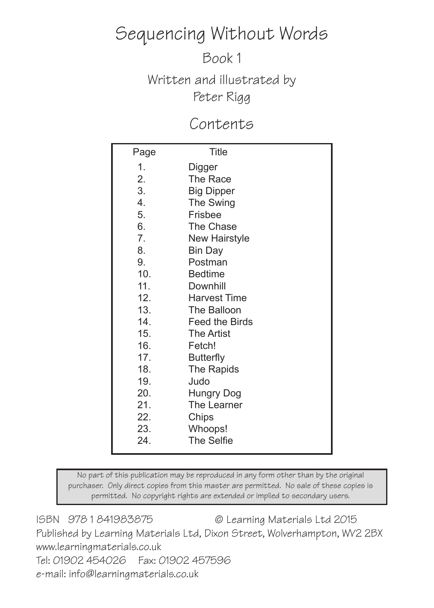## Sequencing Without Words

Book 1

Written and illustrated by Peter Rigg

### Contents

| Page           | <b>Title</b>          |
|----------------|-----------------------|
| 1.             | Digger                |
| 2.             | The Race              |
| 3.             | <b>Big Dipper</b>     |
| 4.             | The Swing             |
| 5.             | <b>Frisbee</b>        |
| 6.             | <b>The Chase</b>      |
| 7 <sub>1</sub> | <b>New Hairstyle</b>  |
| 8.             | <b>Bin Day</b>        |
| 9.             | Postman               |
| 10.            | <b>Bedtime</b>        |
| 11.            | <b>Downhill</b>       |
| 12.            | <b>Harvest Time</b>   |
| 13.            | The Balloon           |
| 14.            | <b>Feed the Birds</b> |
| 15.            | <b>The Artist</b>     |
| 16.            | Fetch!                |
| 17.            | <b>Butterfly</b>      |
| 18.            | The Rapids            |
| 19.            | Judo                  |
| 20.            | <b>Hungry Dog</b>     |
| 21.            | The Learner           |
| 22.            | Chips                 |
| 23.            | Whoops!               |
| 24.            | <b>The Selfie</b>     |

No part of this publication may be reproduced in any form other than by the original purchaser. Only direct copies from this master are permitted. No sale of these copies is permitted. No copyright rights are extended or implied to secondary users.

ISBN 978 1 841983875 © Learning Materials Ltd 2015 Published by Learning Materials Ltd, Dixon Street, Wolverhampton, WV2 2BX www.learningmaterials.co.uk Tel: 01902 454026 Fax: 01902 457596 e-mail: info@learningmaterials.co.uk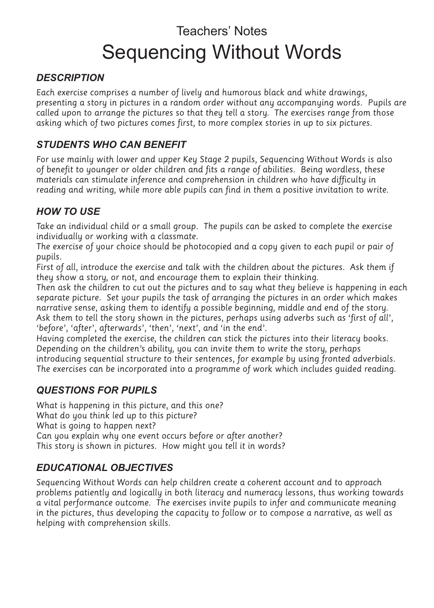## Teachers' Notes Sequencing Without Words

#### *DESCRIPTION*

Each exercise comprises a number of lively and humorous black and white drawings, presenting a story in pictures in a random order without any accompanying words. Pupils are called upon to arrange the pictures so that they tell a story. The exercises range from those asking which of two pictures comes first, to more complex stories in up to six pictures.

#### *STUDENTS WHO CAN BENEFIT*

For use mainly with lower and upper Key Stage 2 pupils, Sequencing Without Words is also of benefit to younger or older children and fits a range of abilities. Being wordless, these materials can stimulate inference and comprehension in children who have difficulty in reading and writing, while more able pupils can find in them a positive invitation to write.

#### *HOW TO USE*

Take an individual child or a small group. The pupils can be asked to complete the exercise individually or working with a classmate.

The exercise of your choice should be photocopied and a copy given to each pupil or pair of pupils.

First of all, introduce the exercise and talk with the children about the pictures. Ask them if they show a story, or not, and encourage them to explain their thinking.

Then ask the children to cut out the pictures and to say what they believe is happening in each separate picture. Set your pupils the task of arranging the pictures in an order which makes narrative sense, asking them to identify a possible beginning, middle and end of the story. Ask them to tell the story shown in the pictures, perhaps using adverbs such as 'first of all', 'before', 'after', afterwards', 'then', 'next', and 'in the end'.

Having completed the exercise, the children can stick the pictures into their literacy books. Depending on the children's ability, you can invite them to write the story, perhaps introducing sequential structure to their sentences, for example by using fronted adverbials. The exercises can be incorporated into a programme of work which includes guided reading.

#### *QUESTIONS FOR PUPILS*

What is happening in this picture, and this one? What do you think led up to this picture? What is going to happen next? Can you explain why one event occurs before or after another? This story is shown in pictures. How might you tell it in words?

#### *EDUCATIONAL OBJECTIVES*

Sequencing Without Words can help children create a coherent account and to approach problems patiently and logically in both literacy and numeracy lessons, thus working towards a vital performance outcome. The exercises invite pupils to infer and communicate meaning in the pictures, thus developing the capacity to follow or to compose a narrative, as well as helping with comprehension skills.